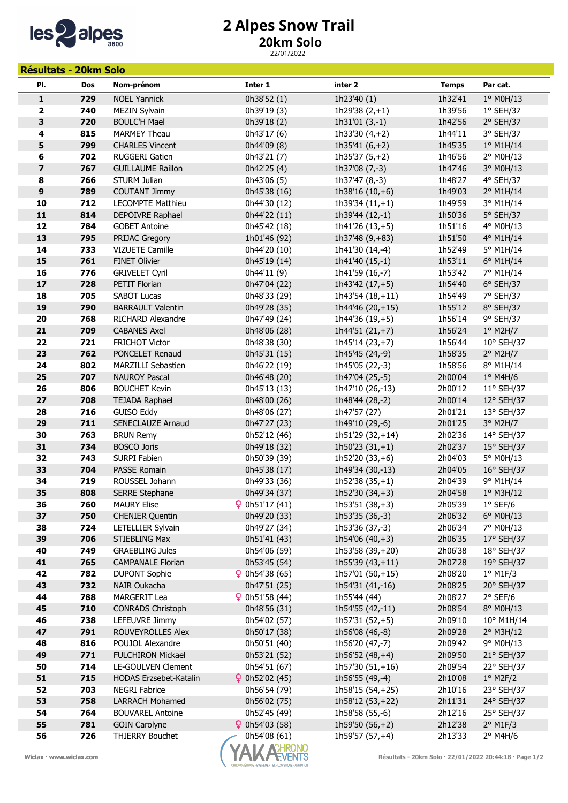

Résultats - 20km Solo

## 2 Alpes Snow Trail 20km Solo

22/01/2022

| PI.                     | Dos        | Nom-prénom                    | Inter 1                      | inter 2                             | <b>Temps</b>       | Par cat.                                               |
|-------------------------|------------|-------------------------------|------------------------------|-------------------------------------|--------------------|--------------------------------------------------------|
| 1                       | 729        | <b>NOEL Yannick</b>           | 0h38'52 (1)                  | 1h23'40 (1)                         | 1h32'41            | 1° M0H/13                                              |
| $\mathbf{2}$            | 740        | <b>MEZIN Sylvain</b>          | 0h39'19 (3)                  | 1h29'38 $(2, +1)$                   | 1h39'56            | $1°$ SEH/37                                            |
| 3                       | 720        | <b>BOULC'H Mael</b>           | 0h39'18 (2)                  | $1h31'01(3,-1)$                     | 1h42'56            | $2°$ SEH/37                                            |
| 4                       | 815        | <b>MARMEY Theau</b>           | 0h43'17 (6)                  | 1h33'30 $(4, +2)$                   | 1h44'11            | 3° SEH/37                                              |
| 5                       | 799        | <b>CHARLES Vincent</b>        | 0h44'09 (8)                  | 1h35'41 $(6, +2)$                   | 1h45'35            | 1° M1H/14                                              |
| 6                       | 702        | RUGGERI Gatien                | 0h43'21 (7)                  | $1h35'37(5,+2)$                     | 1h46'56            | 2° M0H/13                                              |
| $\overline{\mathbf{z}}$ | 767        | <b>GUILLAUME Raillon</b>      | 0h42'25 (4)                  | 1h37'08 (7,-3)                      | 1h47'46            | 3° M0H/13                                              |
| 8                       | 766        | STURM Julian                  | 0h43'06 (5)                  | 1h37'47 (8,-3)                      | 1h48'27            | 4° SEH/37                                              |
| 9                       | 789        | <b>COUTANT Jimmy</b>          | 0h45'38 (16)                 | 1h38'16 (10,+6)                     | 1h49'03            | 2° M1H/14                                              |
| 10                      | 712        | LECOMPTE Matthieu             | 0h44'30 (12)                 | 1h39'34 $(11,+1)$                   | 1h49'59            | 3° M1H/14                                              |
| 11                      | 814        | DEPOIVRE Raphael              | 0h44'22 (11)                 | 1h39'44 (12,-1)                     | 1h50'36            | 5° SEH/37                                              |
| 12                      | 784        | <b>GOBET Antoine</b>          | 0h45'42 (18)                 | 1h41'26 (13,+5)                     | 1h51'16            | 4° M0H/13                                              |
| 13                      | 795        | PRIJAC Gregory                | 1h01'46 (92)                 | 1h37'48 (9,+83)                     | 1h51'50            | 4° M1H/14                                              |
| 14                      | 733        | <b>VIZUETE Camille</b>        | 0h44'20 (10)                 | 1h41'30 (14,-4)                     | 1h52'49            | 5° M1H/14                                              |
| 15                      | 761        | FINET Olivier                 | 0h45'19 (14)                 | 1h41'40 (15,-1)                     | 1h53'11            | $6^{\circ}$ M1H/14                                     |
| 16                      | 776        | <b>GRIVELET Cyril</b>         | 0h44'11 (9)                  | 1h41'59 (16,-7)                     | 1h53'42            | 7° M1H/14                                              |
| 17                      | 728        | PETIT Florian                 | 0h47'04 (22)                 | 1h43'42 $(17,+5)$                   | 1h54'40            | $6°$ SEH/37                                            |
| 18                      | 705        | <b>SABOT Lucas</b>            | 0h48'33 (29)                 | $1h43'54(18,+11)$                   | 1h54'49            | 7° SEH/37                                              |
| 19                      | 790        | <b>BARRAULT Valentin</b>      | 0h49'28 (35)                 | 1h44'46 (20,+15)                    | 1h55'12            | 8° SEH/37                                              |
| 20                      | 768        | RICHARD Alexandre             | 0h47'49 (24)                 | 1h44'36 (19,+5)                     | 1h56'14            | 9° SEH/37                                              |
| 21                      | 709        | <b>CABANES Axel</b>           | 0h48'06 (28)                 | 1h44'51 $(21,+7)$                   | 1h56'24            | $1^\circ$ M2H/7                                        |
| 22                      | 721        | FRICHOT Victor                | 0h48'38 (30)                 | 1h45'14 (23,+7)                     | 1h56'44            | 10° SEH/37                                             |
| 23                      | 762        | PONCELET Renaud               | 0h45'31 (15)                 | 1h45'45 (24,-9)                     | 1h58'35            | $2^{\circ}$ M2H/7                                      |
| 24                      | 802        | <b>MARZILLI Sebastien</b>     | 0h46'22 (19)                 | 1h45'05 (22,-3)                     | 1h58'56            | 8° M1H/14                                              |
| 25                      | 707        | <b>NAUROY Pascal</b>          | 0h46'48 (20)                 | 1h47'04 (25,-5)                     | 2h00'04            | $1°$ M4H/6                                             |
| 26                      | 806        | <b>BOUCHET Kevin</b>          | 0h45'13 (13)                 | 1h47'10 (26,-13)                    | 2h00'12            | 11° SEH/37                                             |
| 27                      | 708        | <b>TEJADA Raphael</b>         | 0h48'00 (26)                 | 1h48'44 (28,-2)                     | 2h00'14            | 12° SEH/37                                             |
| 28                      | 716        | GUISO Eddy                    | 0h48'06 (27)                 | 1h47'57 (27)                        | 2h01'21            | 13° SEH/37                                             |
| 29                      | 711        | SENECLAUZE Arnaud             | 0h47'27 (23)                 | 1h49'10 (29,-6)                     | 2h01'25            | 3° M2H/7                                               |
| 30                      | 763        | <b>BRUN Remy</b>              | 0h52'12 (46)                 | 1h51'29 (32,+14)                    | 2h02'36            | 14° SEH/37                                             |
| 31<br>32                | 734<br>743 | <b>BOSCO Joris</b>            | 0h49'18 (32)                 | $1h50'23(31,+1)$<br>1h52'20 (33,+6) | 2h02'37            | 15° SEH/37<br>5° M0H/13                                |
| 33                      | 704        | SURPI Fabien<br>PASSE Romain  | 0h50'39 (39)<br>0h45'38 (17) | 1h49'34 (30,-13)                    | 2h04'03<br>2h04'05 | 16° SEH/37                                             |
| 34                      | 719        | ROUSSEL Johann                | 0h49'33 (36)                 | $1h52'38(35,+1)$                    | 2h04'39            | 9° M1H/14                                              |
| 35                      | 808        | <b>SERRE Stephane</b>         | 0h49'34 (37)                 | 1h52'30 (34,+3)                     | 2h04'58            | 1° M3H/12                                              |
| 36                      | 760        | <b>MAURY Elise</b>            | $\frac{6}{2}$ 0h51'17 (41)   | 1h53'51 (38,+3)                     | 2h05'39            | $1^{\circ}$ SEF/6                                      |
| 37                      | 750        | <b>CHENIER Quentin</b>        | 0h49'20 (33)                 | 1h53'35 (36,-3)                     | 2h06'32            | 6° M0H/13                                              |
| 38                      | 724        | LETELLIER Sylvain             | 0h49'27 (34)                 | 1h53'36 (37,-3)                     | 2h06'34            | 7° M0H/13                                              |
| 39                      | 706        | <b>STIEBLING Max</b>          | 0h51'41 (43)                 | 1h54'06 $(40,+3)$                   | 2h06'35            | 17° SEH/37                                             |
| 40                      | 749        | <b>GRAEBLING Jules</b>        | 0h54'06 (59)                 | 1h53'58 (39,+20)                    | 2h06'38            | 18° SEH/37                                             |
| 41                      | 765        | <b>CAMPANALE Florian</b>      | 0h53'45 (54)                 | $1h55'39(43,+11)$                   | 2h07'28            | 19° SEH/37                                             |
| 42                      | 782        | <b>DUPONT Sophie</b>          | $\frac{6}{2}$ 0h54'38 (65)   | 1h57'01 (50,+15)                    | 2h08'20            | $1°$ M1F/3                                             |
| 43                      | 732        | NAIR Oukacha                  | 0h47'51 (25)                 | 1h54'31 (41,-16)                    | 2h08'25            | 20° SEH/37                                             |
| 44                      | 788        | <b>MARGERIT Lea</b>           | $\frac{6}{2}$ 0h51'58 (44)   | 1h55'44 (44)                        | 2h08'27            | $2°$ SEF/6                                             |
| 45                      | 710        | <b>CONRADS Christoph</b>      | 0h48'56 (31)                 | 1h54'55 (42,-11)                    | 2h08'54            | 8° M0H/13                                              |
| 46                      | 738        | LEFEUVRE Jimmy                | 0h54'02 (57)                 | $1h57'31(52,+5)$                    | 2h09'10            | $10^{\circ}$ M1H/14                                    |
| 47                      | 791        | ROUVEYROLLES Alex             | 0h50'17 (38)                 | 1h56'08 (46,-8)                     | 2h09'28            | 2° M3H/12                                              |
| 48                      | 816        | POUJOL Alexandre              | 0h50'51 (40)                 | 1h56'20 (47,-7)                     | 2h09'42            | 9° M0H/13                                              |
| 49                      | 771        | <b>FULCHIRON Mickael</b>      | 0h53'21 (52)                 | 1h56'52 (48,+4)                     | 2h09'50            | 21° SEH/37                                             |
| 50                      | 714        | LE-GOULVEN Clement            | 0h54'51 (67)                 | $1h57'30(51,+16)$                   | 2h09'54            | 22° SEH/37                                             |
| 51                      | 715        | <b>HODAS Erzsebet-Katalin</b> | $\frac{6}{2}$ 0h52'02 (45)   | 1h56'55 (49,-4)                     | 2h10'08            | $1°$ M2F/2                                             |
| 52                      | 703        | <b>NEGRI Fabrice</b>          | 0h56'54 (79)                 | 1h58'15 (54,+25)                    | 2h10'16            | 23° SEH/37                                             |
| 53                      | 758        | <b>LARRACH Mohamed</b>        | 0h56'02 (75)                 | 1h58'12 (53, +22)                   | 2h11'31            | 24° SEH/37                                             |
| 54                      | 764        | <b>BOUVAREL Antoine</b>       | 0h52'45 (49)                 | 1h58'58 (55,-6)                     | 2h12'16            | 25° SEH/37                                             |
| 55                      | 781        | <b>GOIN Carolyne</b>          | $\frac{6}{2}$ 0h54'03 (58)   | 1h59'50 (56,+2)                     | 2h12'38            | $2°$ M1F/3                                             |
| 56                      | 726        | <b>THIERRY Bouchet</b>        | 0h54'08 (61)                 | 1h59'57 (57,+4)                     | 2h13'33            | 2° M4H/6                                               |
| Wiclax · www.wiclax.com |            |                               | CHRONO<br>VEVENTS            |                                     |                    | Résultats - 20km Solo · 22/01/2022 20:44:18 · Page 1/2 |